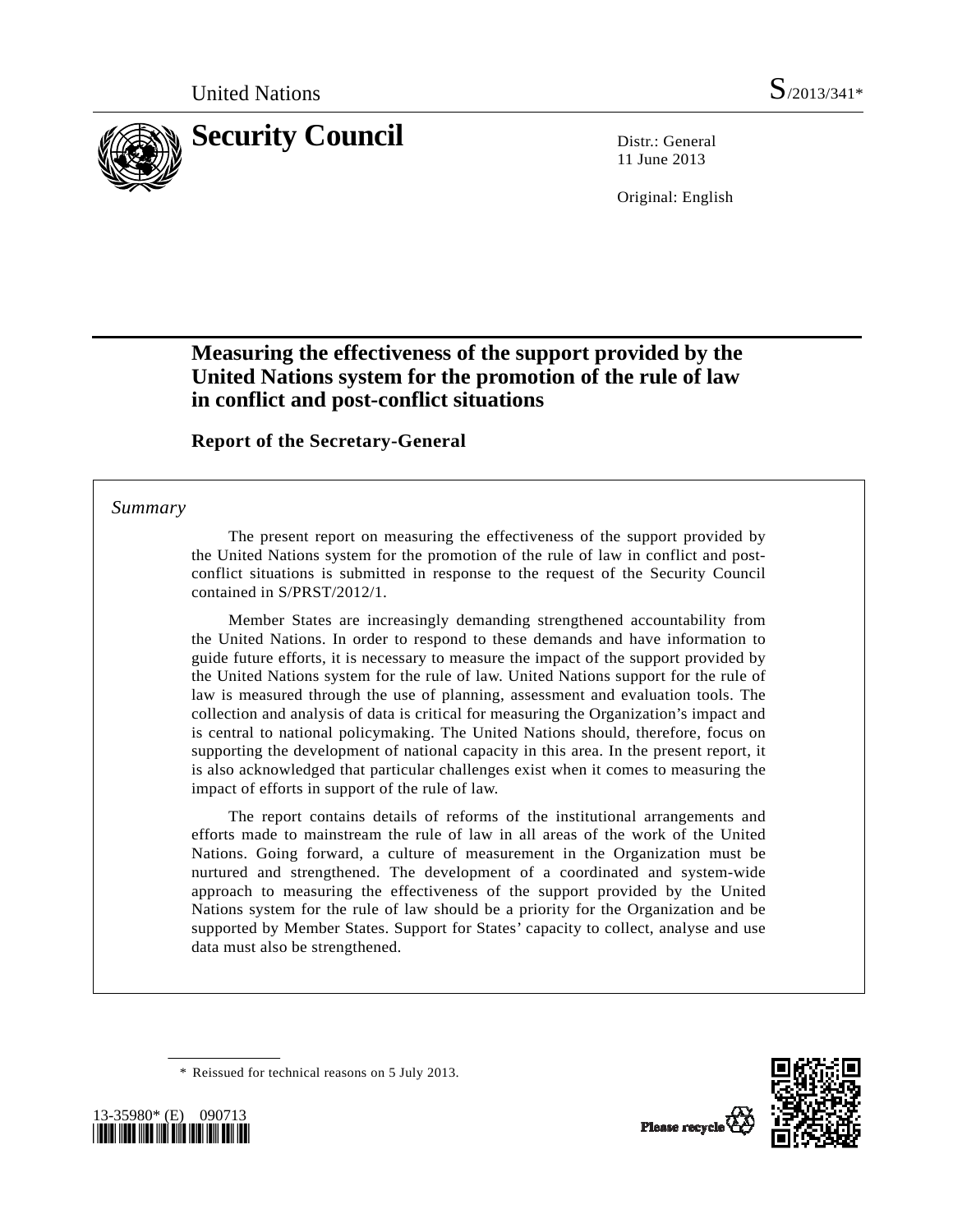

11 June 2013

Original: English

# **Measuring the effectiveness of the support provided by the United Nations system for the promotion of the rule of law in conflict and post-conflict situations**

### **Report of the Secretary-General**

#### *Summary*

 The present report on measuring the effectiveness of the support provided by the United Nations system for the promotion of the rule of law in conflict and postconflict situations is submitted in response to the request of the Security Council contained in S/PRST/2012/1.

 Member States are increasingly demanding strengthened accountability from the United Nations. In order to respond to these demands and have information to guide future efforts, it is necessary to measure the impact of the support provided by the United Nations system for the rule of law. United Nations support for the rule of law is measured through the use of planning, assessment and evaluation tools. The collection and analysis of data is critical for measuring the Organization's impact and is central to national policymaking. The United Nations should, therefore, focus on supporting the development of national capacity in this area. In the present report, it is also acknowledged that particular challenges exist when it comes to measuring the impact of efforts in support of the rule of law.

 The report contains details of reforms of the institutional arrangements and efforts made to mainstream the rule of law in all areas of the work of the United Nations. Going forward, a culture of measurement in the Organization must be nurtured and strengthened. The development of a coordinated and system-wide approach to measuring the effectiveness of the support provided by the United Nations system for the rule of law should be a priority for the Organization and be supported by Member States. Support for States' capacity to collect, analyse and use data must also be strengthened.

\* Reissued for technical reasons on 5 July 2013.





Plasse recycle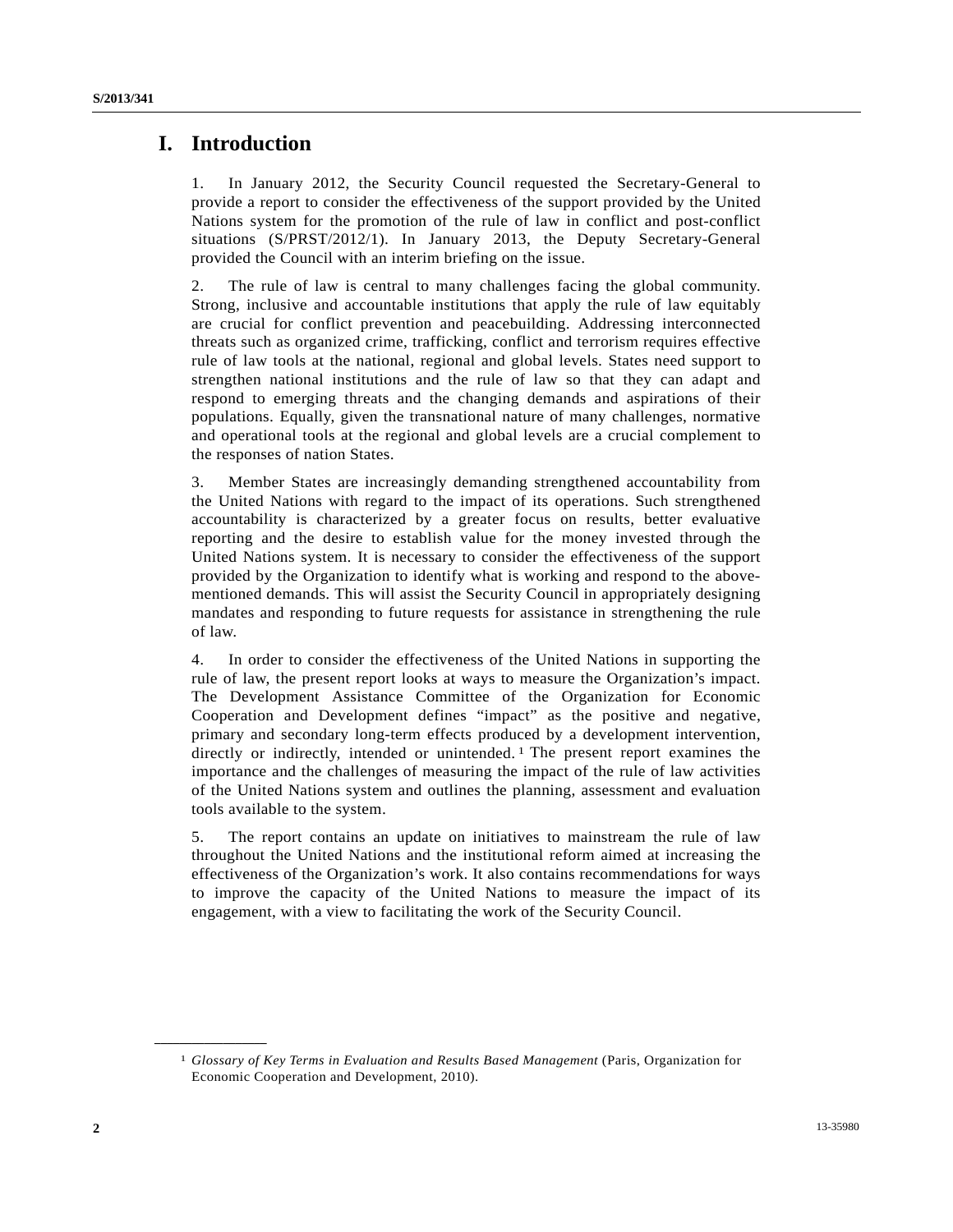### **I. Introduction**

1. In January 2012, the Security Council requested the Secretary-General to provide a report to consider the effectiveness of the support provided by the United Nations system for the promotion of the rule of law in conflict and post-conflict situations (S/PRST/2012/1). In January 2013, the Deputy Secretary-General provided the Council with an interim briefing on the issue.

2. The rule of law is central to many challenges facing the global community. Strong, inclusive and accountable institutions that apply the rule of law equitably are crucial for conflict prevention and peacebuilding. Addressing interconnected threats such as organized crime, trafficking, conflict and terrorism requires effective rule of law tools at the national, regional and global levels. States need support to strengthen national institutions and the rule of law so that they can adapt and respond to emerging threats and the changing demands and aspirations of their populations. Equally, given the transnational nature of many challenges, normative and operational tools at the regional and global levels are a crucial complement to the responses of nation States.

3. Member States are increasingly demanding strengthened accountability from the United Nations with regard to the impact of its operations. Such strengthened accountability is characterized by a greater focus on results, better evaluative reporting and the desire to establish value for the money invested through the United Nations system. It is necessary to consider the effectiveness of the support provided by the Organization to identify what is working and respond to the abovementioned demands. This will assist the Security Council in appropriately designing mandates and responding to future requests for assistance in strengthening the rule of law.

4. In order to consider the effectiveness of the United Nations in supporting the rule of law, the present report looks at ways to measure the Organization's impact. The Development Assistance Committee of the Organization for Economic Cooperation and Development defines "impact" as the positive and negative, primary and secondary long-term effects produced by a development intervention, directly or indirectly, intended or unintended. [1](#page-1-0) The present report examines the importance and the challenges of measuring the impact of the rule of law activities of the United Nations system and outlines the planning, assessment and evaluation tools available to the system.

5. The report contains an update on initiatives to mainstream the rule of law throughout the United Nations and the institutional reform aimed at increasing the effectiveness of the Organization's work. It also contains recommendations for ways to improve the capacity of the United Nations to measure the impact of its engagement, with a view to facilitating the work of the Security Council.

<span id="page-1-0"></span>**\_\_\_\_\_\_\_\_\_\_\_\_\_\_\_\_\_\_** 

<sup>1</sup> *Glossary of Key Terms in Evaluation and Results Based Management* (Paris, Organization for Economic Cooperation and Development, 2010).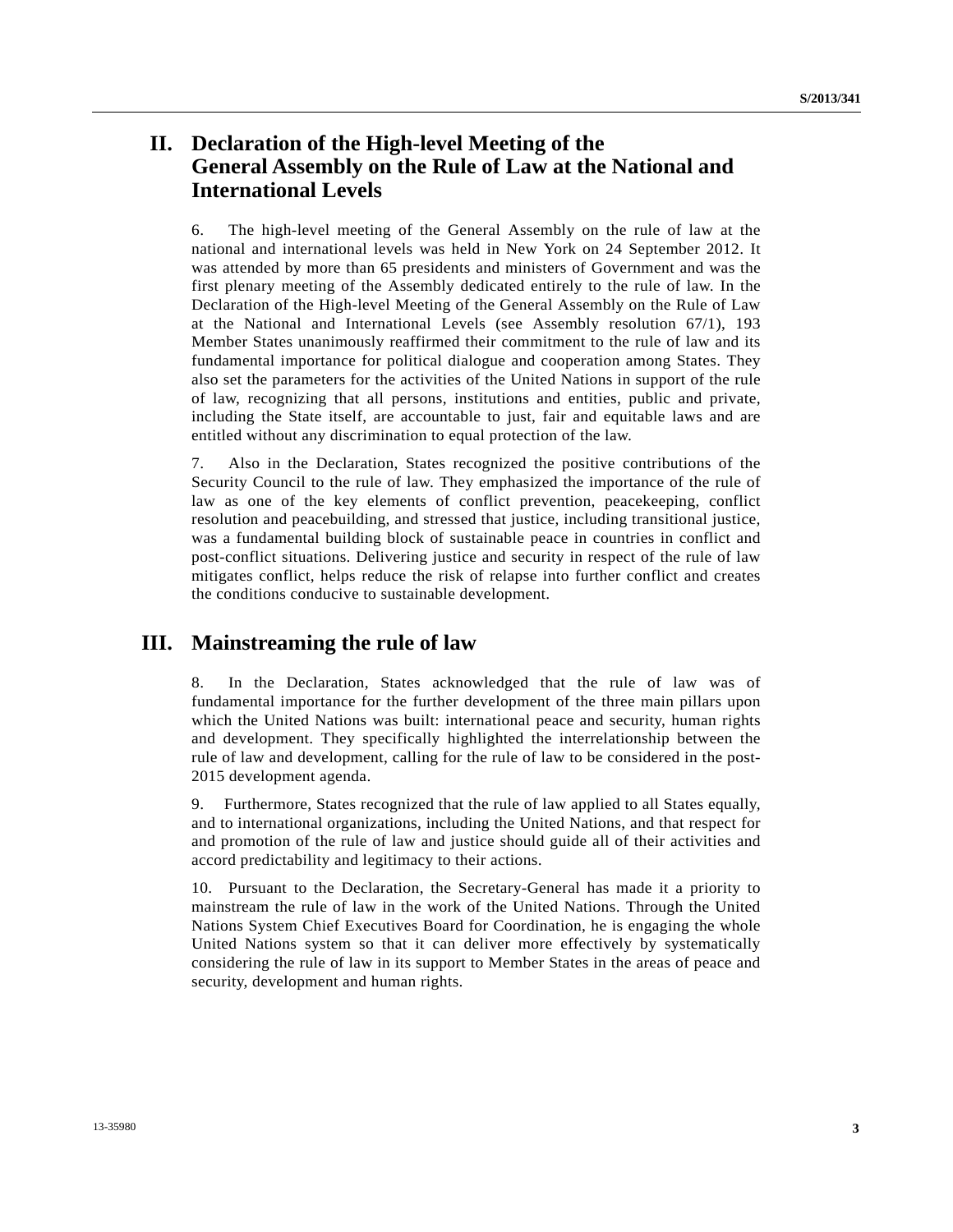# **II. Declaration of the High-level Meeting of the General Assembly on the Rule of Law at the National and International Levels**

6. The high-level meeting of the General Assembly on the rule of law at the national and international levels was held in New York on 24 September 2012. It was attended by more than 65 presidents and ministers of Government and was the first plenary meeting of the Assembly dedicated entirely to the rule of law. In the Declaration of the High-level Meeting of the General Assembly on the Rule of Law at the National and International Levels (see Assembly resolution 67/1), 193 Member States unanimously reaffirmed their commitment to the rule of law and its fundamental importance for political dialogue and cooperation among States. They also set the parameters for the activities of the United Nations in support of the rule of law, recognizing that all persons, institutions and entities, public and private, including the State itself, are accountable to just, fair and equitable laws and are entitled without any discrimination to equal protection of the law.

7. Also in the Declaration, States recognized the positive contributions of the Security Council to the rule of law. They emphasized the importance of the rule of law as one of the key elements of conflict prevention, peacekeeping, conflict resolution and peacebuilding, and stressed that justice, including transitional justice, was a fundamental building block of sustainable peace in countries in conflict and post-conflict situations. Delivering justice and security in respect of the rule of law mitigates conflict, helps reduce the risk of relapse into further conflict and creates the conditions conducive to sustainable development.

### **III. Mainstreaming the rule of law**

8. In the Declaration, States acknowledged that the rule of law was of fundamental importance for the further development of the three main pillars upon which the United Nations was built: international peace and security, human rights and development. They specifically highlighted the interrelationship between the rule of law and development, calling for the rule of law to be considered in the post-2015 development agenda.

9. Furthermore, States recognized that the rule of law applied to all States equally, and to international organizations, including the United Nations, and that respect for and promotion of the rule of law and justice should guide all of their activities and accord predictability and legitimacy to their actions.

10. Pursuant to the Declaration, the Secretary-General has made it a priority to mainstream the rule of law in the work of the United Nations. Through the United Nations System Chief Executives Board for Coordination, he is engaging the whole United Nations system so that it can deliver more effectively by systematically considering the rule of law in its support to Member States in the areas of peace and security, development and human rights.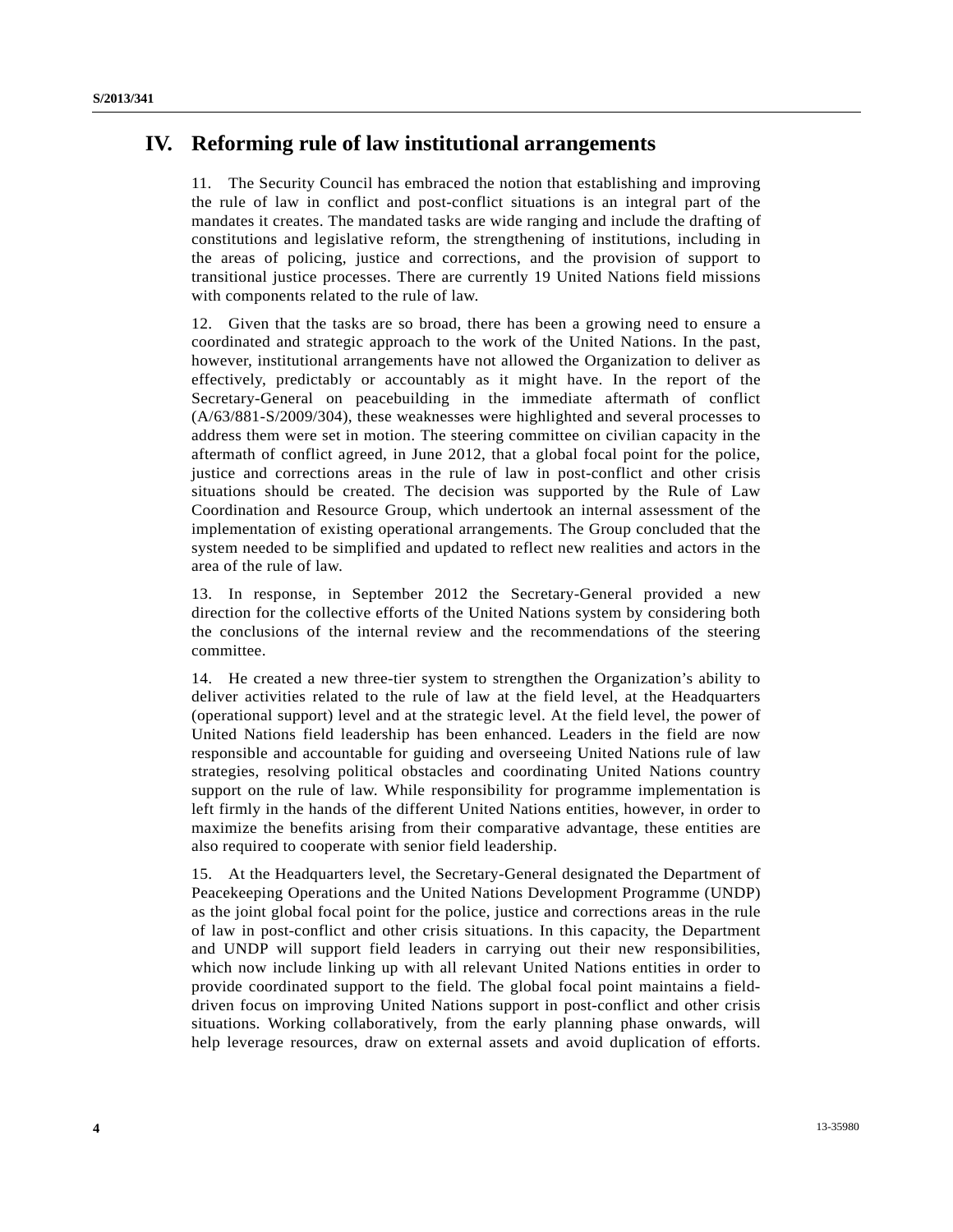## **IV. Reforming rule of law institutional arrangements**

11. The Security Council has embraced the notion that establishing and improving the rule of law in conflict and post-conflict situations is an integral part of the mandates it creates. The mandated tasks are wide ranging and include the drafting of constitutions and legislative reform, the strengthening of institutions, including in the areas of policing, justice and corrections, and the provision of support to transitional justice processes. There are currently 19 United Nations field missions with components related to the rule of law.

12. Given that the tasks are so broad, there has been a growing need to ensure a coordinated and strategic approach to the work of the United Nations. In the past, however, institutional arrangements have not allowed the Organization to deliver as effectively, predictably or accountably as it might have. In the report of the Secretary-General on peacebuilding in the immediate aftermath of conflict (A/63/881-S/2009/304), these weaknesses were highlighted and several processes to address them were set in motion. The steering committee on civilian capacity in the aftermath of conflict agreed, in June 2012, that a global focal point for the police, justice and corrections areas in the rule of law in post-conflict and other crisis situations should be created. The decision was supported by the Rule of Law Coordination and Resource Group, which undertook an internal assessment of the implementation of existing operational arrangements. The Group concluded that the system needed to be simplified and updated to reflect new realities and actors in the area of the rule of law.

13. In response, in September 2012 the Secretary-General provided a new direction for the collective efforts of the United Nations system by considering both the conclusions of the internal review and the recommendations of the steering committee.

14. He created a new three-tier system to strengthen the Organization's ability to deliver activities related to the rule of law at the field level, at the Headquarters (operational support) level and at the strategic level. At the field level, the power of United Nations field leadership has been enhanced. Leaders in the field are now responsible and accountable for guiding and overseeing United Nations rule of law strategies, resolving political obstacles and coordinating United Nations country support on the rule of law. While responsibility for programme implementation is left firmly in the hands of the different United Nations entities, however, in order to maximize the benefits arising from their comparative advantage, these entities are also required to cooperate with senior field leadership.

15. At the Headquarters level, the Secretary-General designated the Department of Peacekeeping Operations and the United Nations Development Programme (UNDP) as the joint global focal point for the police, justice and corrections areas in the rule of law in post-conflict and other crisis situations. In this capacity, the Department and UNDP will support field leaders in carrying out their new responsibilities, which now include linking up with all relevant United Nations entities in order to provide coordinated support to the field. The global focal point maintains a fielddriven focus on improving United Nations support in post-conflict and other crisis situations. Working collaboratively, from the early planning phase onwards, will help leverage resources, draw on external assets and avoid duplication of efforts.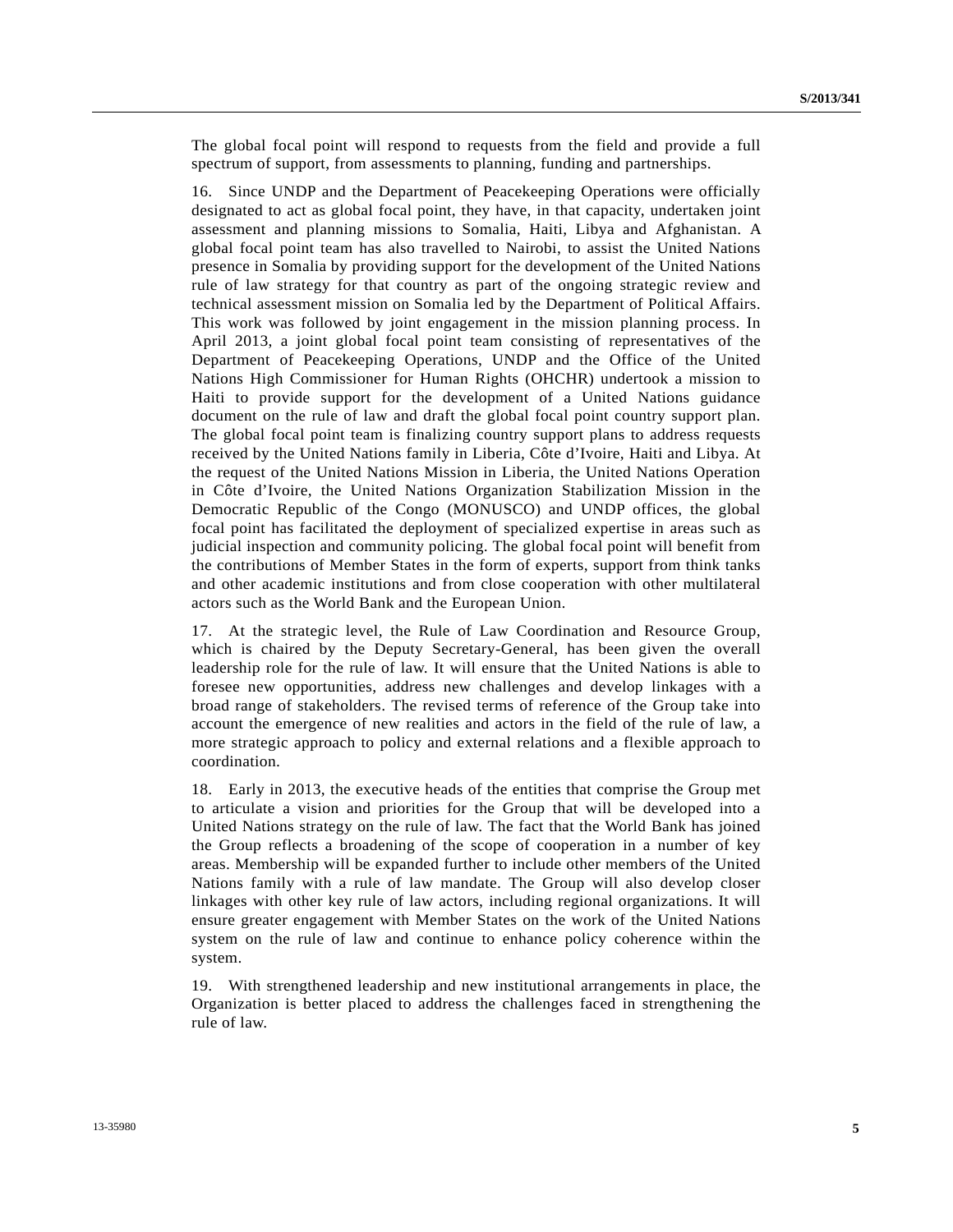The global focal point will respond to requests from the field and provide a full spectrum of support, from assessments to planning, funding and partnerships.

16. Since UNDP and the Department of Peacekeeping Operations were officially designated to act as global focal point, they have, in that capacity, undertaken joint assessment and planning missions to Somalia, Haiti, Libya and Afghanistan. A global focal point team has also travelled to Nairobi, to assist the United Nations presence in Somalia by providing support for the development of the United Nations rule of law strategy for that country as part of the ongoing strategic review and technical assessment mission on Somalia led by the Department of Political Affairs. This work was followed by joint engagement in the mission planning process. In April 2013, a joint global focal point team consisting of representatives of the Department of Peacekeeping Operations, UNDP and the Office of the United Nations High Commissioner for Human Rights (OHCHR) undertook a mission to Haiti to provide support for the development of a United Nations guidance document on the rule of law and draft the global focal point country support plan. The global focal point team is finalizing country support plans to address requests received by the United Nations family in Liberia, Côte d'Ivoire, Haiti and Libya. At the request of the United Nations Mission in Liberia, the United Nations Operation in Côte d'Ivoire, the United Nations Organization Stabilization Mission in the Democratic Republic of the Congo (MONUSCO) and UNDP offices, the global focal point has facilitated the deployment of specialized expertise in areas such as judicial inspection and community policing. The global focal point will benefit from the contributions of Member States in the form of experts, support from think tanks and other academic institutions and from close cooperation with other multilateral actors such as the World Bank and the European Union.

17. At the strategic level, the Rule of Law Coordination and Resource Group, which is chaired by the Deputy Secretary-General, has been given the overall leadership role for the rule of law. It will ensure that the United Nations is able to foresee new opportunities, address new challenges and develop linkages with a broad range of stakeholders. The revised terms of reference of the Group take into account the emergence of new realities and actors in the field of the rule of law, a more strategic approach to policy and external relations and a flexible approach to coordination.

18. Early in 2013, the executive heads of the entities that comprise the Group met to articulate a vision and priorities for the Group that will be developed into a United Nations strategy on the rule of law. The fact that the World Bank has joined the Group reflects a broadening of the scope of cooperation in a number of key areas. Membership will be expanded further to include other members of the United Nations family with a rule of law mandate. The Group will also develop closer linkages with other key rule of law actors, including regional organizations. It will ensure greater engagement with Member States on the work of the United Nations system on the rule of law and continue to enhance policy coherence within the system.

19. With strengthened leadership and new institutional arrangements in place, the Organization is better placed to address the challenges faced in strengthening the rule of law.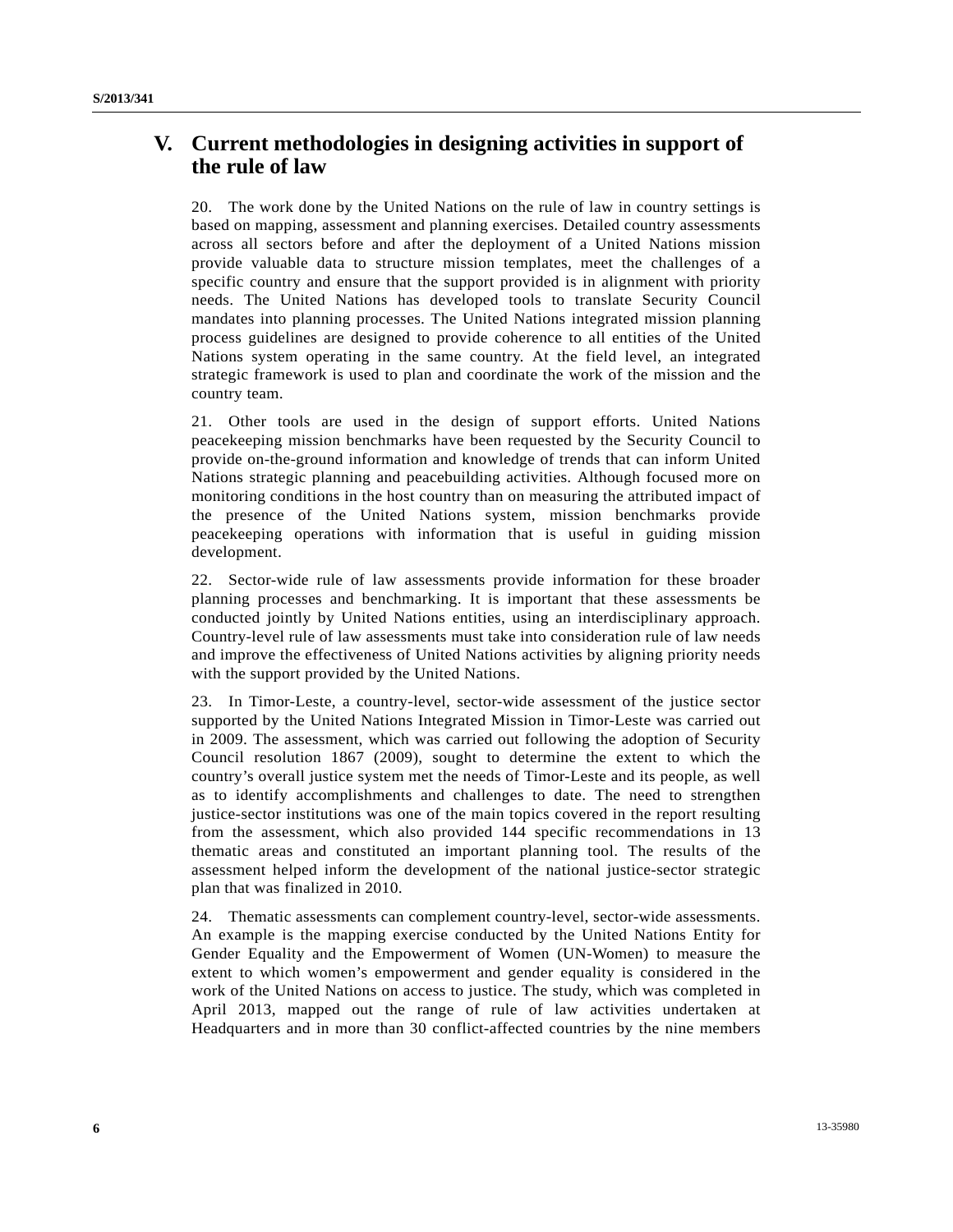# **V. Current methodologies in designing activities in support of the rule of law**

20. The work done by the United Nations on the rule of law in country settings is based on mapping, assessment and planning exercises. Detailed country assessments across all sectors before and after the deployment of a United Nations mission provide valuable data to structure mission templates, meet the challenges of a specific country and ensure that the support provided is in alignment with priority needs. The United Nations has developed tools to translate Security Council mandates into planning processes. The United Nations integrated mission planning process guidelines are designed to provide coherence to all entities of the United Nations system operating in the same country. At the field level, an integrated strategic framework is used to plan and coordinate the work of the mission and the country team.

21. Other tools are used in the design of support efforts. United Nations peacekeeping mission benchmarks have been requested by the Security Council to provide on-the-ground information and knowledge of trends that can inform United Nations strategic planning and peacebuilding activities. Although focused more on monitoring conditions in the host country than on measuring the attributed impact of the presence of the United Nations system, mission benchmarks provide peacekeeping operations with information that is useful in guiding mission development.

22. Sector-wide rule of law assessments provide information for these broader planning processes and benchmarking. It is important that these assessments be conducted jointly by United Nations entities, using an interdisciplinary approach. Country-level rule of law assessments must take into consideration rule of law needs and improve the effectiveness of United Nations activities by aligning priority needs with the support provided by the United Nations.

23. In Timor-Leste, a country-level, sector-wide assessment of the justice sector supported by the United Nations Integrated Mission in Timor-Leste was carried out in 2009. The assessment, which was carried out following the adoption of Security Council resolution 1867 (2009), sought to determine the extent to which the country's overall justice system met the needs of Timor-Leste and its people, as well as to identify accomplishments and challenges to date. The need to strengthen justice-sector institutions was one of the main topics covered in the report resulting from the assessment, which also provided 144 specific recommendations in 13 thematic areas and constituted an important planning tool. The results of the assessment helped inform the development of the national justice-sector strategic plan that was finalized in 2010.

24. Thematic assessments can complement country-level, sector-wide assessments. An example is the mapping exercise conducted by the United Nations Entity for Gender Equality and the Empowerment of Women (UN-Women) to measure the extent to which women's empowerment and gender equality is considered in the work of the United Nations on access to justice. The study, which was completed in April 2013, mapped out the range of rule of law activities undertaken at Headquarters and in more than 30 conflict-affected countries by the nine members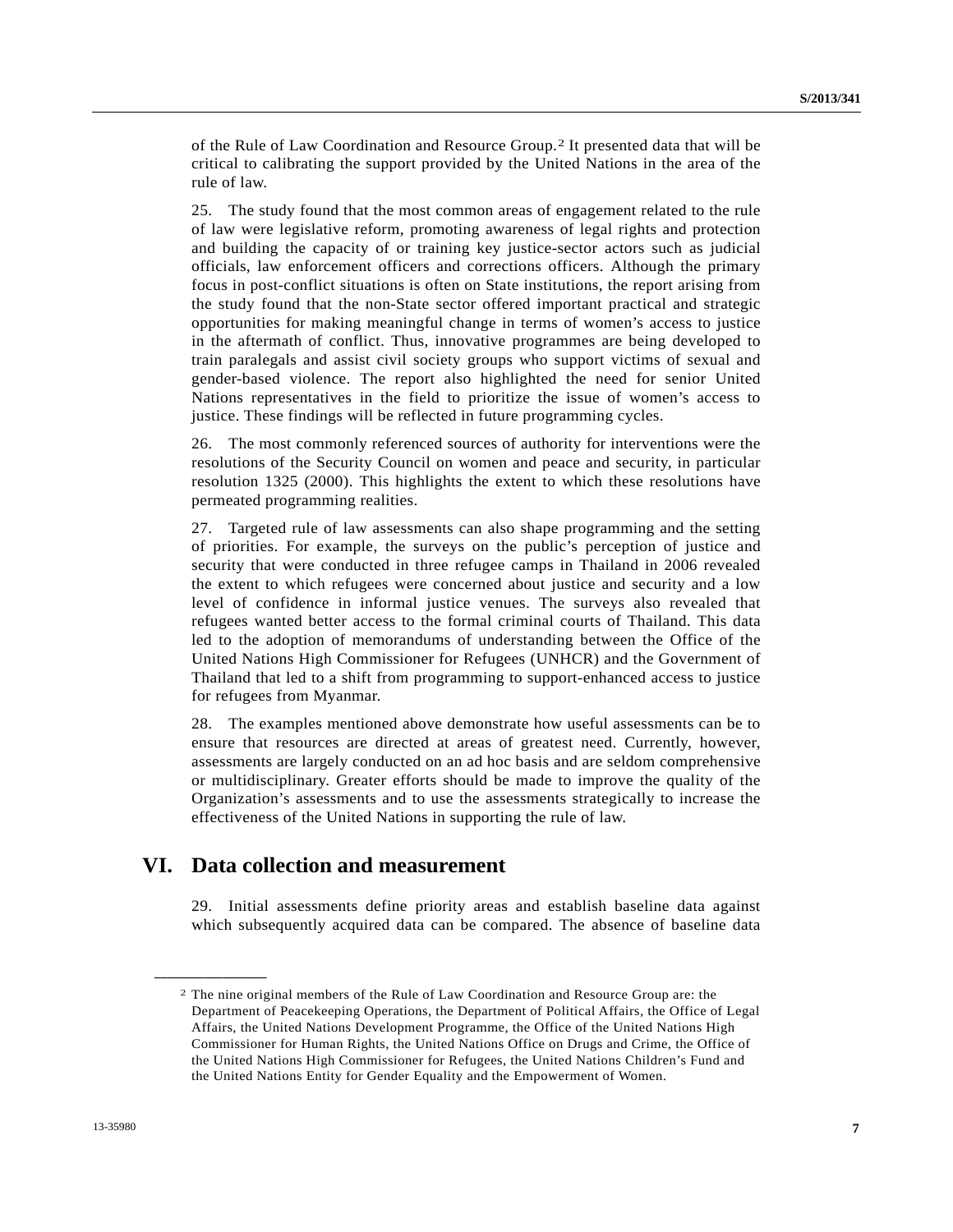of the Rule of Law Coordination and Resource Group.[2](#page-6-0) It presented data that will be critical to calibrating the support provided by the United Nations in the area of the rule of law.

25. The study found that the most common areas of engagement related to the rule of law were legislative reform, promoting awareness of legal rights and protection and building the capacity of or training key justice-sector actors such as judicial officials, law enforcement officers and corrections officers. Although the primary focus in post-conflict situations is often on State institutions, the report arising from the study found that the non-State sector offered important practical and strategic opportunities for making meaningful change in terms of women's access to justice in the aftermath of conflict. Thus, innovative programmes are being developed to train paralegals and assist civil society groups who support victims of sexual and gender-based violence. The report also highlighted the need for senior United Nations representatives in the field to prioritize the issue of women's access to justice. These findings will be reflected in future programming cycles.

26. The most commonly referenced sources of authority for interventions were the resolutions of the Security Council on women and peace and security, in particular resolution 1325 (2000). This highlights the extent to which these resolutions have permeated programming realities.

27. Targeted rule of law assessments can also shape programming and the setting of priorities. For example, the surveys on the public's perception of justice and security that were conducted in three refugee camps in Thailand in 2006 revealed the extent to which refugees were concerned about justice and security and a low level of confidence in informal justice venues. The surveys also revealed that refugees wanted better access to the formal criminal courts of Thailand. This data led to the adoption of memorandums of understanding between the Office of the United Nations High Commissioner for Refugees (UNHCR) and the Government of Thailand that led to a shift from programming to support-enhanced access to justice for refugees from Myanmar.

28. The examples mentioned above demonstrate how useful assessments can be to ensure that resources are directed at areas of greatest need. Currently, however, assessments are largely conducted on an ad hoc basis and are seldom comprehensive or multidisciplinary. Greater efforts should be made to improve the quality of the Organization's assessments and to use the assessments strategically to increase the effectiveness of the United Nations in supporting the rule of law.

# **VI. Data collection and measurement**

29. Initial assessments define priority areas and establish baseline data against which subsequently acquired data can be compared. The absence of baseline data

<span id="page-6-0"></span>**\_\_\_\_\_\_\_\_\_\_\_\_\_\_\_\_\_\_** 

<sup>2</sup> The nine original members of the Rule of Law Coordination and Resource Group are: the Department of Peacekeeping Operations, the Department of Political Affairs, the Office of Legal Affairs, the United Nations Development Programme, the Office of the United Nations High Commissioner for Human Rights, the United Nations Office on Drugs and Crime, the Office of the United Nations High Commissioner for Refugees, the United Nations Children's Fund and the United Nations Entity for Gender Equality and the Empowerment of Women.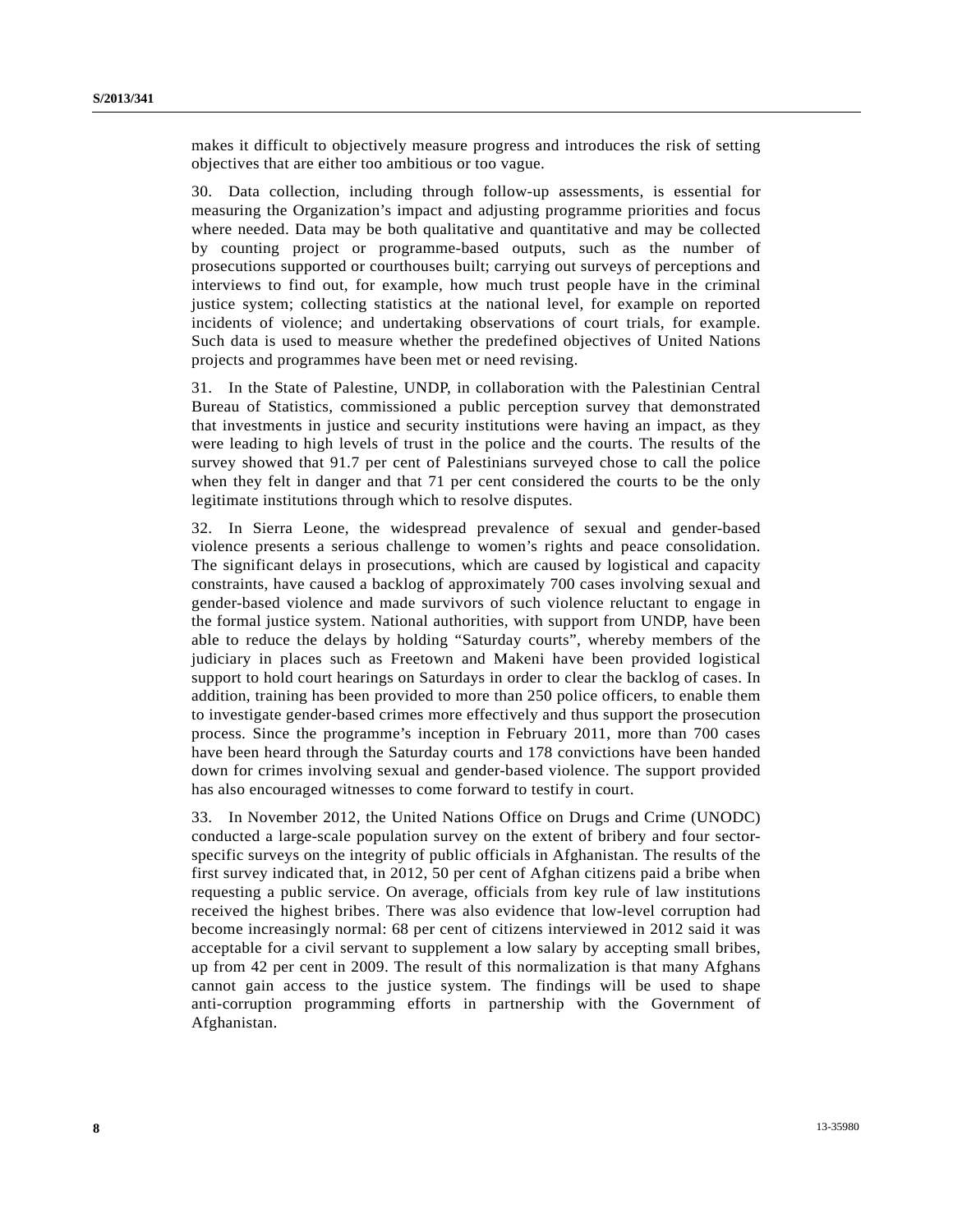makes it difficult to objectively measure progress and introduces the risk of setting objectives that are either too ambitious or too vague.

30. Data collection, including through follow-up assessments, is essential for measuring the Organization's impact and adjusting programme priorities and focus where needed. Data may be both qualitative and quantitative and may be collected by counting project or programme-based outputs, such as the number of prosecutions supported or courthouses built; carrying out surveys of perceptions and interviews to find out, for example, how much trust people have in the criminal justice system; collecting statistics at the national level, for example on reported incidents of violence; and undertaking observations of court trials, for example. Such data is used to measure whether the predefined objectives of United Nations projects and programmes have been met or need revising.

31. In the State of Palestine, UNDP, in collaboration with the Palestinian Central Bureau of Statistics, commissioned a public perception survey that demonstrated that investments in justice and security institutions were having an impact, as they were leading to high levels of trust in the police and the courts. The results of the survey showed that 91.7 per cent of Palestinians surveyed chose to call the police when they felt in danger and that 71 per cent considered the courts to be the only legitimate institutions through which to resolve disputes.

32. In Sierra Leone, the widespread prevalence of sexual and gender-based violence presents a serious challenge to women's rights and peace consolidation. The significant delays in prosecutions, which are caused by logistical and capacity constraints, have caused a backlog of approximately 700 cases involving sexual and gender-based violence and made survivors of such violence reluctant to engage in the formal justice system. National authorities, with support from UNDP, have been able to reduce the delays by holding "Saturday courts", whereby members of the judiciary in places such as Freetown and Makeni have been provided logistical support to hold court hearings on Saturdays in order to clear the backlog of cases. In addition, training has been provided to more than 250 police officers, to enable them to investigate gender-based crimes more effectively and thus support the prosecution process. Since the programme's inception in February 2011, more than 700 cases have been heard through the Saturday courts and 178 convictions have been handed down for crimes involving sexual and gender-based violence. The support provided has also encouraged witnesses to come forward to testify in court.

33. In November 2012, the United Nations Office on Drugs and Crime (UNODC) conducted a large-scale population survey on the extent of bribery and four sectorspecific surveys on the integrity of public officials in Afghanistan. The results of the first survey indicated that, in 2012, 50 per cent of Afghan citizens paid a bribe when requesting a public service. On average, officials from key rule of law institutions received the highest bribes. There was also evidence that low-level corruption had become increasingly normal: 68 per cent of citizens interviewed in 2012 said it was acceptable for a civil servant to supplement a low salary by accepting small bribes, up from 42 per cent in 2009. The result of this normalization is that many Afghans cannot gain access to the justice system. The findings will be used to shape anti-corruption programming efforts in partnership with the Government of Afghanistan.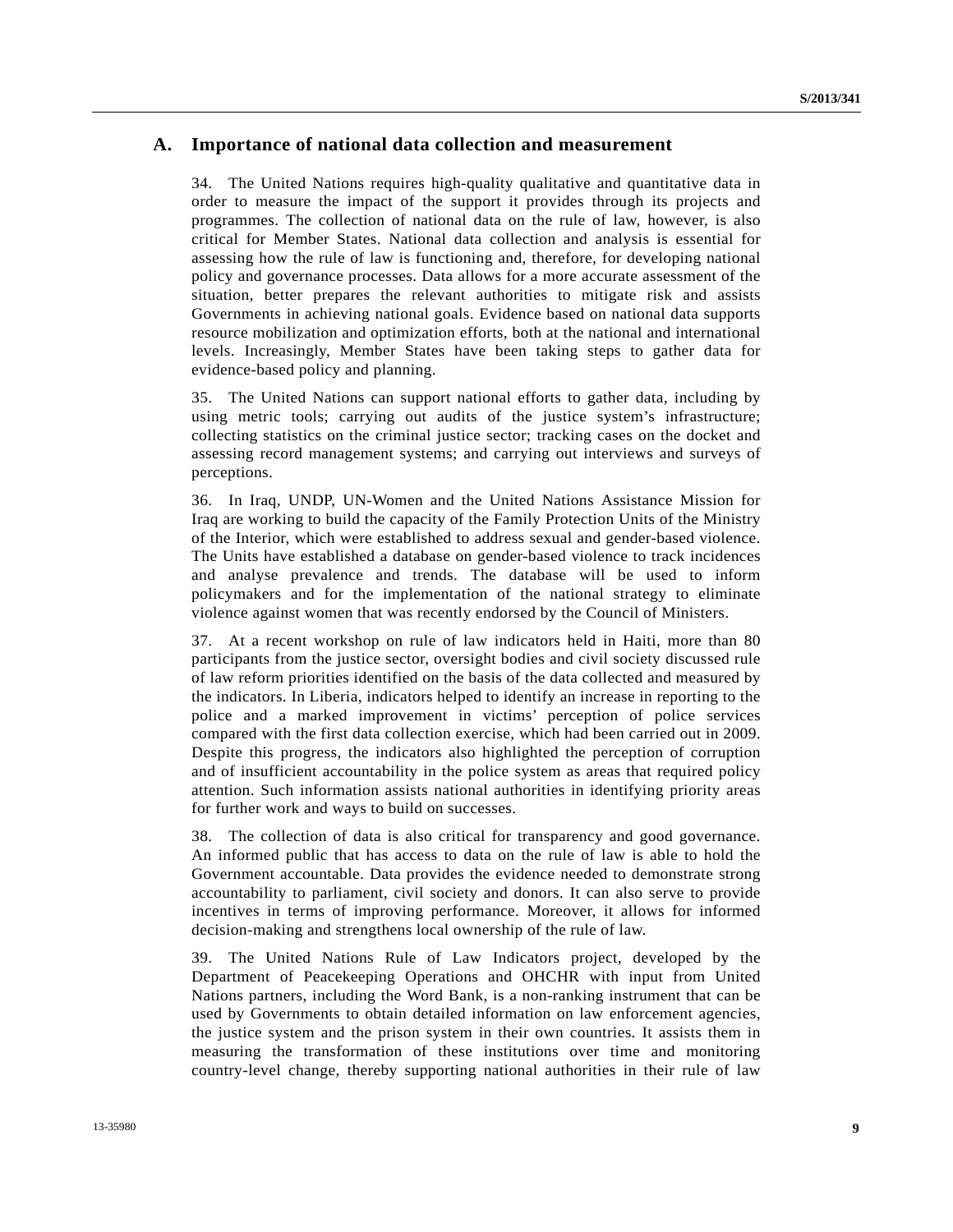### **A. Importance of national data collection and measurement**

34. The United Nations requires high-quality qualitative and quantitative data in order to measure the impact of the support it provides through its projects and programmes. The collection of national data on the rule of law, however, is also critical for Member States. National data collection and analysis is essential for assessing how the rule of law is functioning and, therefore, for developing national policy and governance processes. Data allows for a more accurate assessment of the situation, better prepares the relevant authorities to mitigate risk and assists Governments in achieving national goals. Evidence based on national data supports resource mobilization and optimization efforts, both at the national and international levels. Increasingly, Member States have been taking steps to gather data for evidence-based policy and planning.

35. The United Nations can support national efforts to gather data, including by using metric tools; carrying out audits of the justice system's infrastructure; collecting statistics on the criminal justice sector; tracking cases on the docket and assessing record management systems; and carrying out interviews and surveys of perceptions.

36. In Iraq, UNDP, UN-Women and the United Nations Assistance Mission for Iraq are working to build the capacity of the Family Protection Units of the Ministry of the Interior, which were established to address sexual and gender-based violence. The Units have established a database on gender-based violence to track incidences and analyse prevalence and trends. The database will be used to inform policymakers and for the implementation of the national strategy to eliminate violence against women that was recently endorsed by the Council of Ministers.

37. At a recent workshop on rule of law indicators held in Haiti, more than 80 participants from the justice sector, oversight bodies and civil society discussed rule of law reform priorities identified on the basis of the data collected and measured by the indicators. In Liberia, indicators helped to identify an increase in reporting to the police and a marked improvement in victims' perception of police services compared with the first data collection exercise, which had been carried out in 2009. Despite this progress, the indicators also highlighted the perception of corruption and of insufficient accountability in the police system as areas that required policy attention. Such information assists national authorities in identifying priority areas for further work and ways to build on successes.

38. The collection of data is also critical for transparency and good governance. An informed public that has access to data on the rule of law is able to hold the Government accountable. Data provides the evidence needed to demonstrate strong accountability to parliament, civil society and donors. It can also serve to provide incentives in terms of improving performance. Moreover, it allows for informed decision-making and strengthens local ownership of the rule of law.

39. The United Nations Rule of Law Indicators project, developed by the Department of Peacekeeping Operations and OHCHR with input from United Nations partners, including the Word Bank, is a non-ranking instrument that can be used by Governments to obtain detailed information on law enforcement agencies, the justice system and the prison system in their own countries. It assists them in measuring the transformation of these institutions over time and monitoring country-level change, thereby supporting national authorities in their rule of law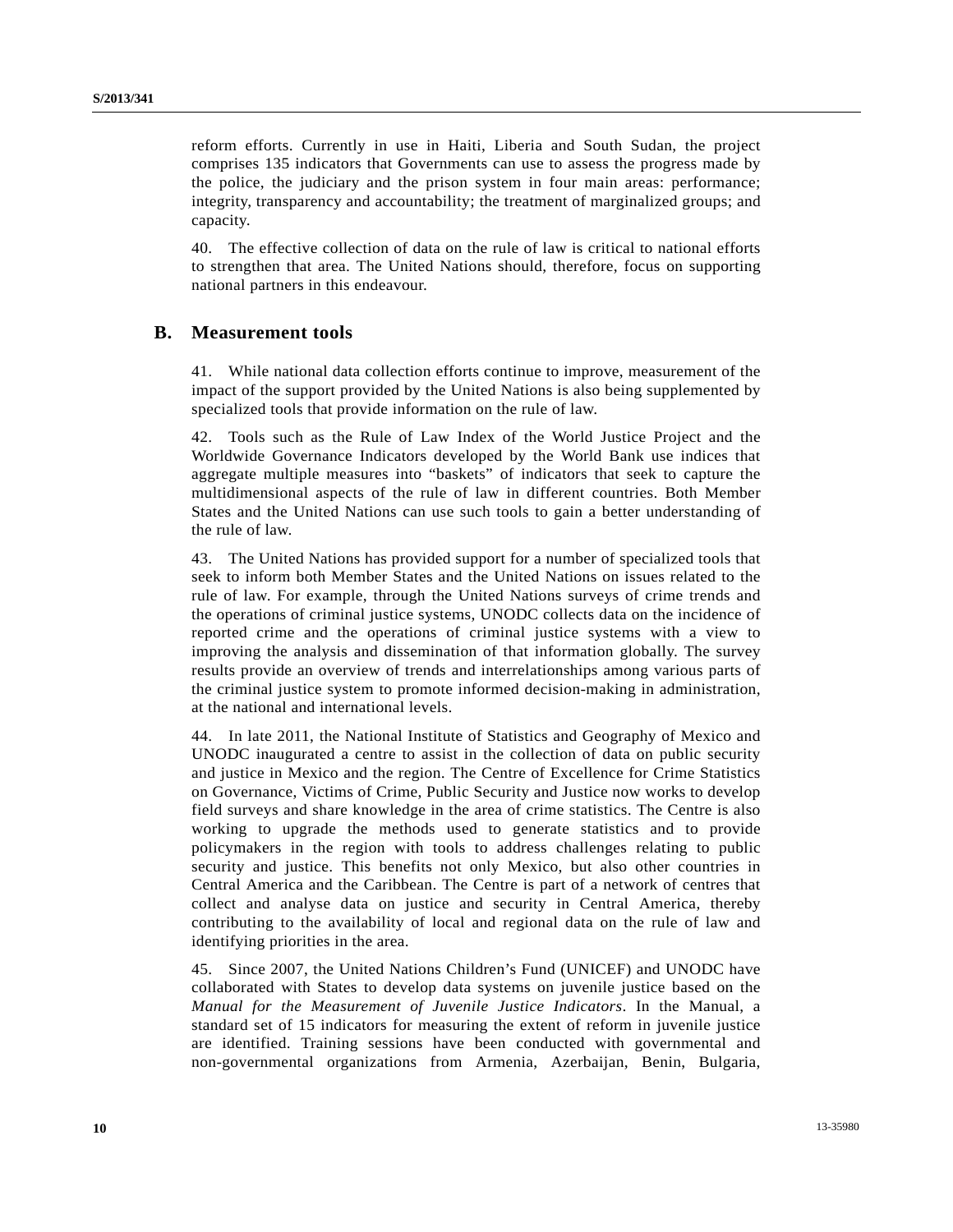reform efforts. Currently in use in Haiti, Liberia and South Sudan, the project comprises 135 indicators that Governments can use to assess the progress made by the police, the judiciary and the prison system in four main areas: performance; integrity, transparency and accountability; the treatment of marginalized groups; and capacity.

40. The effective collection of data on the rule of law is critical to national efforts to strengthen that area. The United Nations should, therefore, focus on supporting national partners in this endeavour.

### **B. Measurement tools**

41. While national data collection efforts continue to improve, measurement of the impact of the support provided by the United Nations is also being supplemented by specialized tools that provide information on the rule of law.

42. Tools such as the Rule of Law Index of the World Justice Project and the Worldwide Governance Indicators developed by the World Bank use indices that aggregate multiple measures into "baskets" of indicators that seek to capture the multidimensional aspects of the rule of law in different countries. Both Member States and the United Nations can use such tools to gain a better understanding of the rule of law.

43. The United Nations has provided support for a number of specialized tools that seek to inform both Member States and the United Nations on issues related to the rule of law. For example, through the United Nations surveys of crime trends and the operations of criminal justice systems, UNODC collects data on the incidence of reported crime and the operations of criminal justice systems with a view to improving the analysis and dissemination of that information globally. The survey results provide an overview of trends and interrelationships among various parts of the criminal justice system to promote informed decision-making in administration, at the national and international levels.

44. In late 2011, the National Institute of Statistics and Geography of Mexico and UNODC inaugurated a centre to assist in the collection of data on public security and justice in Mexico and the region. The Centre of Excellence for Crime Statistics on Governance, Victims of Crime, Public Security and Justice now works to develop field surveys and share knowledge in the area of crime statistics. The Centre is also working to upgrade the methods used to generate statistics and to provide policymakers in the region with tools to address challenges relating to public security and justice. This benefits not only Mexico, but also other countries in Central America and the Caribbean. The Centre is part of a network of centres that collect and analyse data on justice and security in Central America, thereby contributing to the availability of local and regional data on the rule of law and identifying priorities in the area.

45. Since 2007, the United Nations Children's Fund (UNICEF) and UNODC have collaborated with States to develop data systems on juvenile justice based on the *Manual for the Measurement of Juvenile Justice Indicators*. In the Manual, a standard set of 15 indicators for measuring the extent of reform in juvenile justice are identified. Training sessions have been conducted with governmental and non-governmental organizations from Armenia, Azerbaijan, Benin, Bulgaria,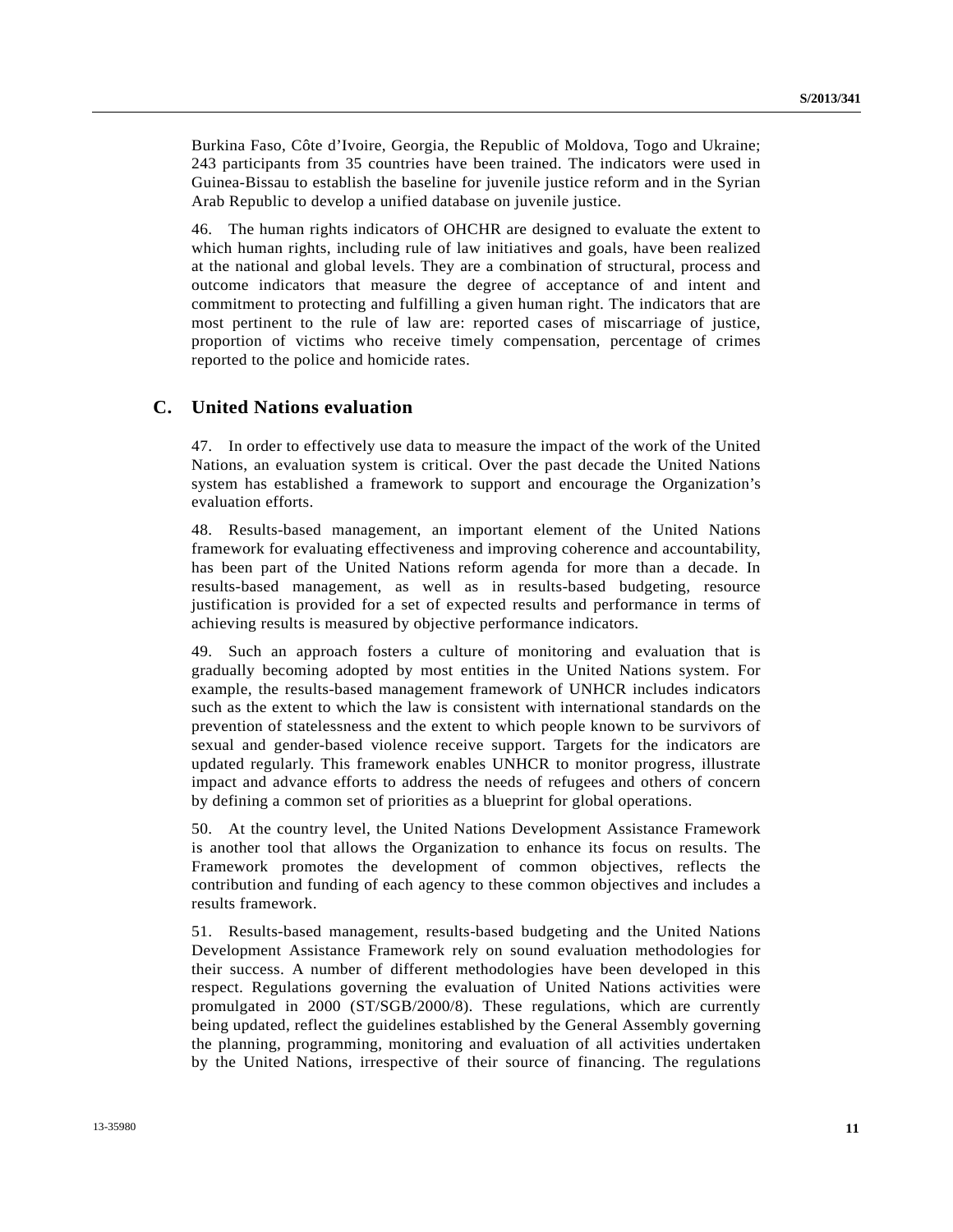Burkina Faso, Côte d'Ivoire, Georgia, the Republic of Moldova, Togo and Ukraine; 243 participants from 35 countries have been trained. The indicators were used in Guinea-Bissau to establish the baseline for juvenile justice reform and in the Syrian Arab Republic to develop a unified database on juvenile justice.

46. The human rights indicators of OHCHR are designed to evaluate the extent to which human rights, including rule of law initiatives and goals, have been realized at the national and global levels. They are a combination of structural, process and outcome indicators that measure the degree of acceptance of and intent and commitment to protecting and fulfilling a given human right. The indicators that are most pertinent to the rule of law are: reported cases of miscarriage of justice, proportion of victims who receive timely compensation, percentage of crimes reported to the police and homicide rates.

#### **C. United Nations evaluation**

47. In order to effectively use data to measure the impact of the work of the United Nations, an evaluation system is critical. Over the past decade the United Nations system has established a framework to support and encourage the Organization's evaluation efforts.

48. Results-based management, an important element of the United Nations framework for evaluating effectiveness and improving coherence and accountability, has been part of the United Nations reform agenda for more than a decade. In results-based management, as well as in results-based budgeting, resource justification is provided for a set of expected results and performance in terms of achieving results is measured by objective performance indicators.

49. Such an approach fosters a culture of monitoring and evaluation that is gradually becoming adopted by most entities in the United Nations system. For example, the results-based management framework of UNHCR includes indicators such as the extent to which the law is consistent with international standards on the prevention of statelessness and the extent to which people known to be survivors of sexual and gender-based violence receive support. Targets for the indicators are updated regularly. This framework enables UNHCR to monitor progress, illustrate impact and advance efforts to address the needs of refugees and others of concern by defining a common set of priorities as a blueprint for global operations.

50. At the country level, the United Nations Development Assistance Framework is another tool that allows the Organization to enhance its focus on results. The Framework promotes the development of common objectives, reflects the contribution and funding of each agency to these common objectives and includes a results framework.

51. Results-based management, results-based budgeting and the United Nations Development Assistance Framework rely on sound evaluation methodologies for their success. A number of different methodologies have been developed in this respect. Regulations governing the evaluation of United Nations activities were promulgated in 2000 (ST/SGB/2000/8). These regulations, which are currently being updated, reflect the guidelines established by the General Assembly governing the planning, programming, monitoring and evaluation of all activities undertaken by the United Nations, irrespective of their source of financing. The regulations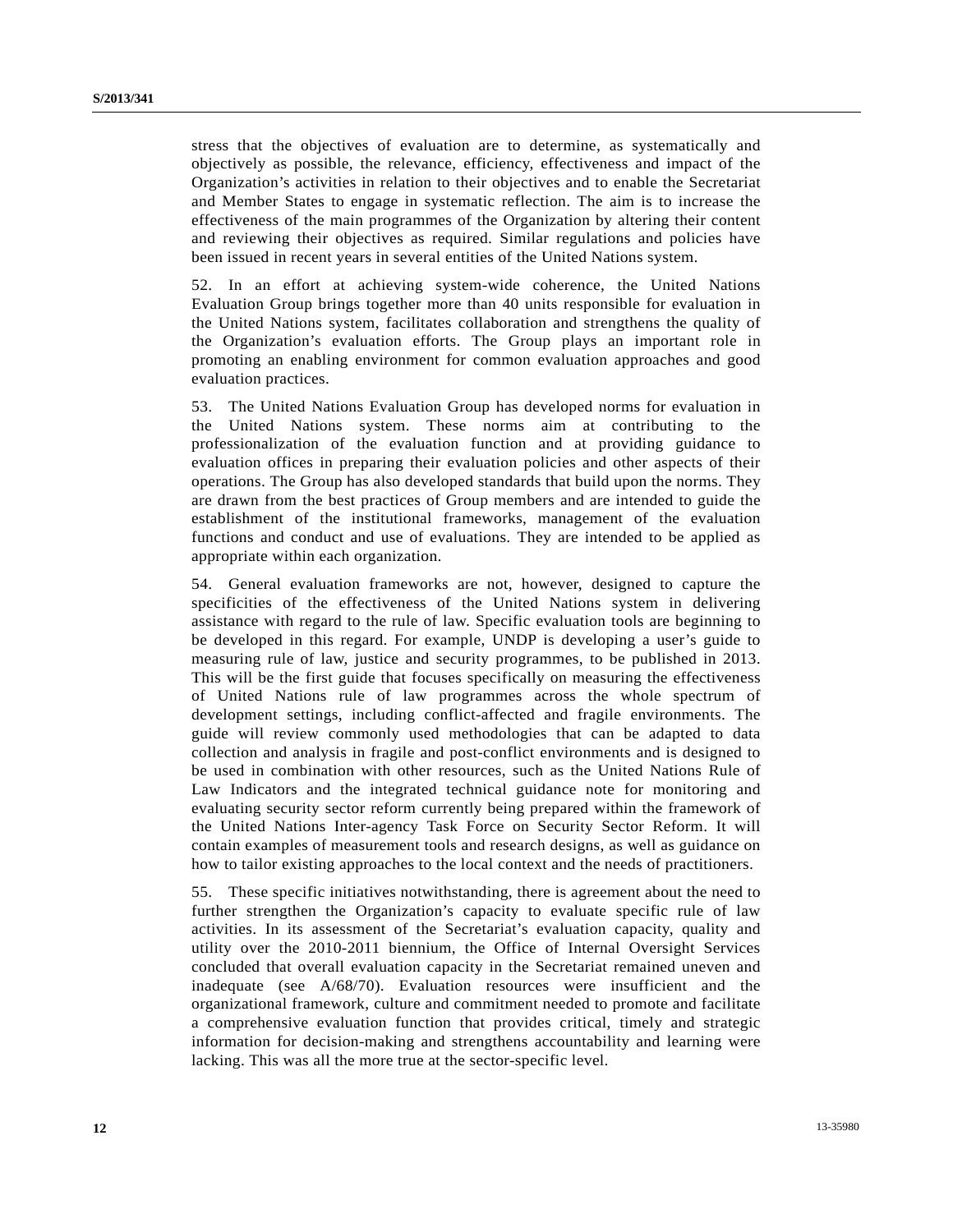stress that the objectives of evaluation are to determine, as systematically and objectively as possible, the relevance, efficiency, effectiveness and impact of the Organization's activities in relation to their objectives and to enable the Secretariat and Member States to engage in systematic reflection. The aim is to increase the effectiveness of the main programmes of the Organization by altering their content and reviewing their objectives as required. Similar regulations and policies have been issued in recent years in several entities of the United Nations system.

52. In an effort at achieving system-wide coherence, the United Nations Evaluation Group brings together more than 40 units responsible for evaluation in the United Nations system, facilitates collaboration and strengthens the quality of the Organization's evaluation efforts. The Group plays an important role in promoting an enabling environment for common evaluation approaches and good evaluation practices.

53. The United Nations Evaluation Group has developed norms for evaluation in the United Nations system. These norms aim at contributing to the professionalization of the evaluation function and at providing guidance to evaluation offices in preparing their evaluation policies and other aspects of their operations. The Group has also developed standards that build upon the norms. They are drawn from the best practices of Group members and are intended to guide the establishment of the institutional frameworks, management of the evaluation functions and conduct and use of evaluations. They are intended to be applied as appropriate within each organization.

54. General evaluation frameworks are not, however, designed to capture the specificities of the effectiveness of the United Nations system in delivering assistance with regard to the rule of law. Specific evaluation tools are beginning to be developed in this regard. For example, UNDP is developing a user's guide to measuring rule of law, justice and security programmes, to be published in 2013. This will be the first guide that focuses specifically on measuring the effectiveness of United Nations rule of law programmes across the whole spectrum of development settings, including conflict-affected and fragile environments. The guide will review commonly used methodologies that can be adapted to data collection and analysis in fragile and post-conflict environments and is designed to be used in combination with other resources, such as the United Nations Rule of Law Indicators and the integrated technical guidance note for monitoring and evaluating security sector reform currently being prepared within the framework of the United Nations Inter-agency Task Force on Security Sector Reform. It will contain examples of measurement tools and research designs, as well as guidance on how to tailor existing approaches to the local context and the needs of practitioners.

55. These specific initiatives notwithstanding, there is agreement about the need to further strengthen the Organization's capacity to evaluate specific rule of law activities. In its assessment of the Secretariat's evaluation capacity, quality and utility over the 2010-2011 biennium, the Office of Internal Oversight Services concluded that overall evaluation capacity in the Secretariat remained uneven and inadequate (see A/68/70). Evaluation resources were insufficient and the organizational framework, culture and commitment needed to promote and facilitate a comprehensive evaluation function that provides critical, timely and strategic information for decision-making and strengthens accountability and learning were lacking. This was all the more true at the sector-specific level.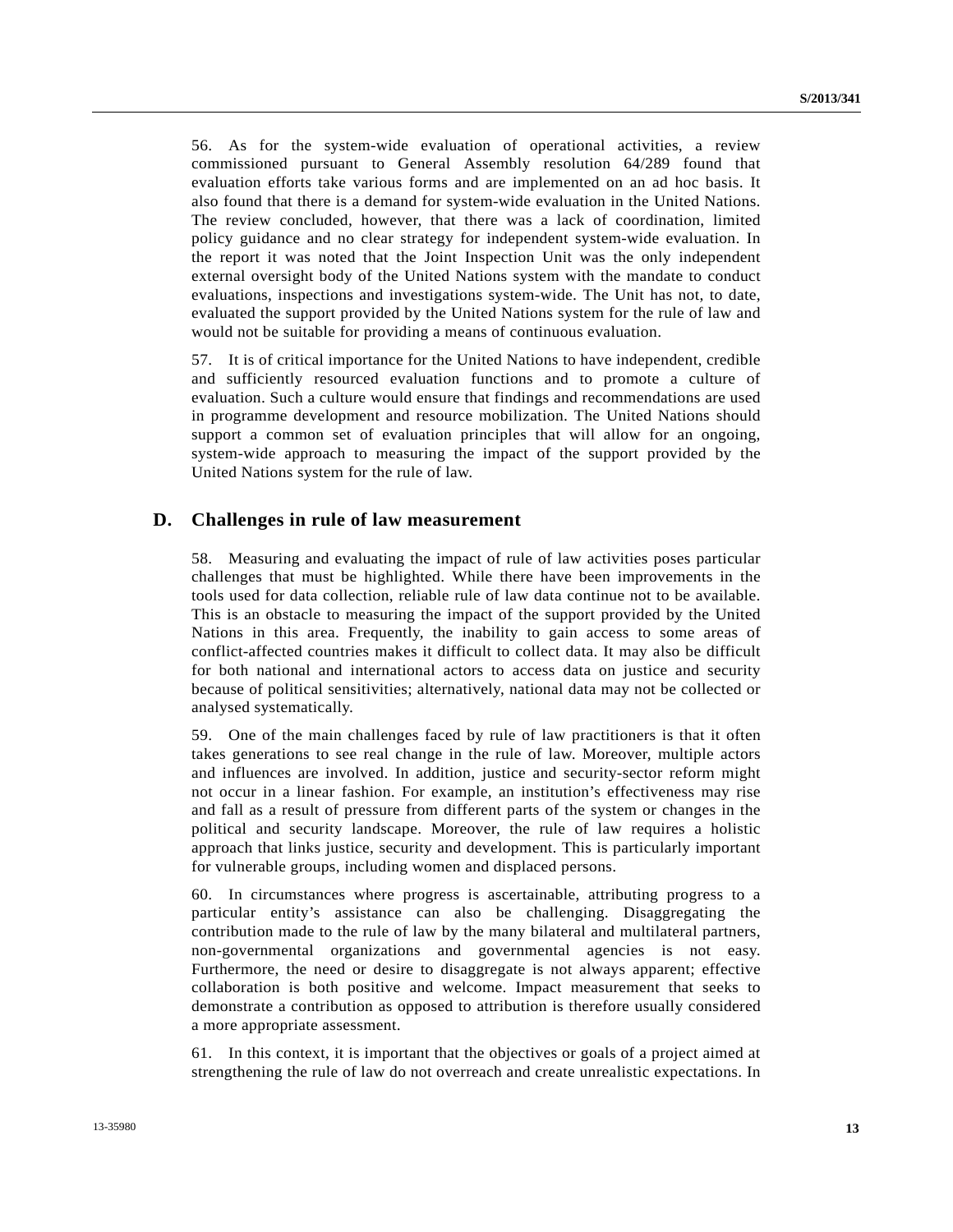56. As for the system-wide evaluation of operational activities, a review commissioned pursuant to General Assembly resolution 64/289 found that evaluation efforts take various forms and are implemented on an ad hoc basis. It also found that there is a demand for system-wide evaluation in the United Nations. The review concluded, however, that there was a lack of coordination, limited policy guidance and no clear strategy for independent system-wide evaluation. In the report it was noted that the Joint Inspection Unit was the only independent external oversight body of the United Nations system with the mandate to conduct evaluations, inspections and investigations system-wide. The Unit has not, to date, evaluated the support provided by the United Nations system for the rule of law and would not be suitable for providing a means of continuous evaluation.

57. It is of critical importance for the United Nations to have independent, credible and sufficiently resourced evaluation functions and to promote a culture of evaluation. Such a culture would ensure that findings and recommendations are used in programme development and resource mobilization. The United Nations should support a common set of evaluation principles that will allow for an ongoing, system-wide approach to measuring the impact of the support provided by the United Nations system for the rule of law.

#### **D. Challenges in rule of law measurement**

58. Measuring and evaluating the impact of rule of law activities poses particular challenges that must be highlighted. While there have been improvements in the tools used for data collection, reliable rule of law data continue not to be available. This is an obstacle to measuring the impact of the support provided by the United Nations in this area. Frequently, the inability to gain access to some areas of conflict-affected countries makes it difficult to collect data. It may also be difficult for both national and international actors to access data on justice and security because of political sensitivities; alternatively, national data may not be collected or analysed systematically.

59. One of the main challenges faced by rule of law practitioners is that it often takes generations to see real change in the rule of law. Moreover, multiple actors and influences are involved. In addition, justice and security-sector reform might not occur in a linear fashion. For example, an institution's effectiveness may rise and fall as a result of pressure from different parts of the system or changes in the political and security landscape. Moreover, the rule of law requires a holistic approach that links justice, security and development. This is particularly important for vulnerable groups, including women and displaced persons.

60. In circumstances where progress is ascertainable, attributing progress to a particular entity's assistance can also be challenging. Disaggregating the contribution made to the rule of law by the many bilateral and multilateral partners, non-governmental organizations and governmental agencies is not easy. Furthermore, the need or desire to disaggregate is not always apparent; effective collaboration is both positive and welcome. Impact measurement that seeks to demonstrate a contribution as opposed to attribution is therefore usually considered a more appropriate assessment.

61. In this context, it is important that the objectives or goals of a project aimed at strengthening the rule of law do not overreach and create unrealistic expectations. In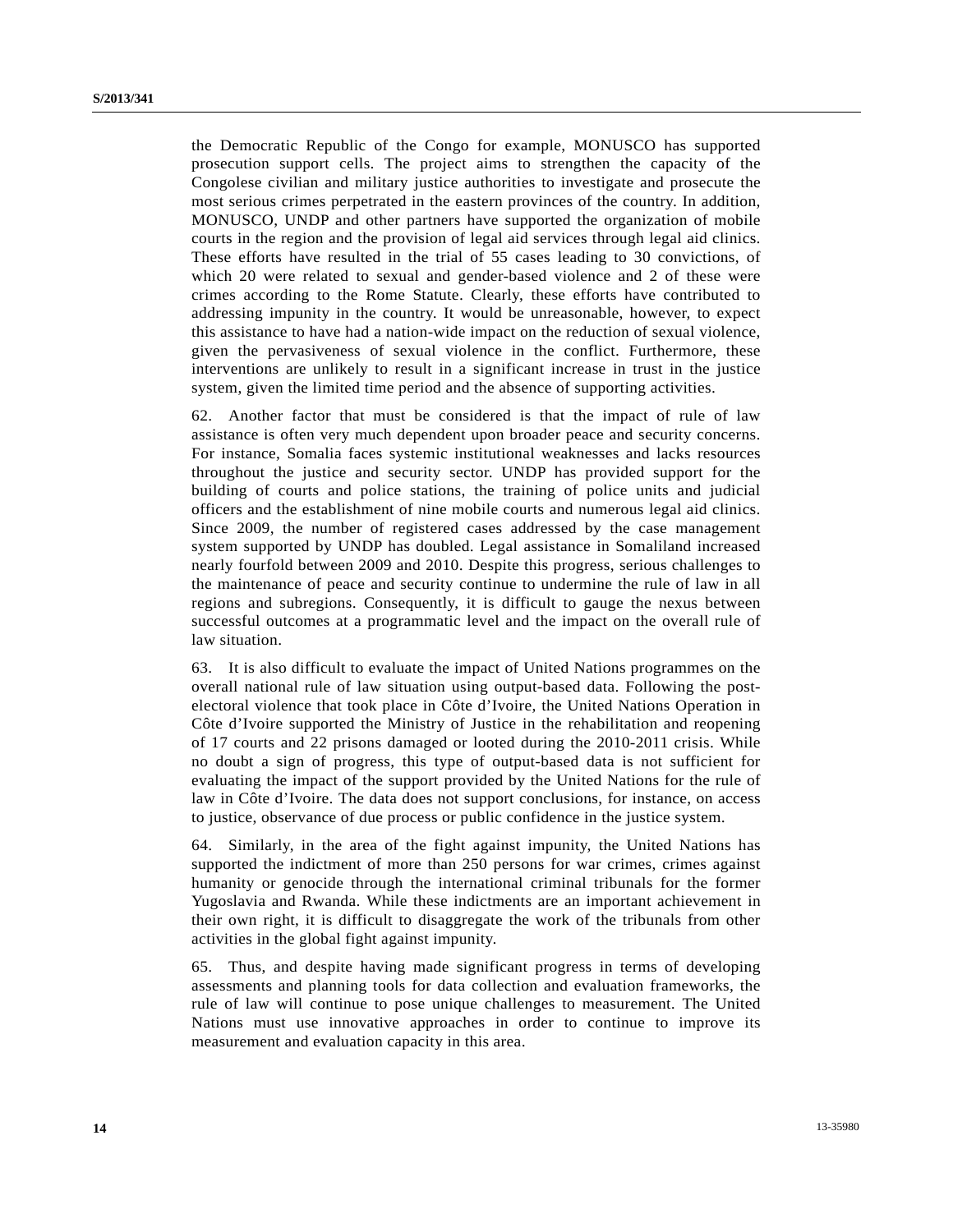the Democratic Republic of the Congo for example, MONUSCO has supported prosecution support cells. The project aims to strengthen the capacity of the Congolese civilian and military justice authorities to investigate and prosecute the most serious crimes perpetrated in the eastern provinces of the country. In addition, MONUSCO, UNDP and other partners have supported the organization of mobile courts in the region and the provision of legal aid services through legal aid clinics. These efforts have resulted in the trial of 55 cases leading to 30 convictions, of which 20 were related to sexual and gender-based violence and 2 of these were crimes according to the Rome Statute. Clearly, these efforts have contributed to addressing impunity in the country. It would be unreasonable, however, to expect this assistance to have had a nation-wide impact on the reduction of sexual violence, given the pervasiveness of sexual violence in the conflict. Furthermore, these interventions are unlikely to result in a significant increase in trust in the justice system, given the limited time period and the absence of supporting activities.

62. Another factor that must be considered is that the impact of rule of law assistance is often very much dependent upon broader peace and security concerns. For instance, Somalia faces systemic institutional weaknesses and lacks resources throughout the justice and security sector. UNDP has provided support for the building of courts and police stations, the training of police units and judicial officers and the establishment of nine mobile courts and numerous legal aid clinics. Since 2009, the number of registered cases addressed by the case management system supported by UNDP has doubled. Legal assistance in Somaliland increased nearly fourfold between 2009 and 2010. Despite this progress, serious challenges to the maintenance of peace and security continue to undermine the rule of law in all regions and subregions. Consequently, it is difficult to gauge the nexus between successful outcomes at a programmatic level and the impact on the overall rule of law situation.

63. It is also difficult to evaluate the impact of United Nations programmes on the overall national rule of law situation using output-based data. Following the postelectoral violence that took place in Côte d'Ivoire, the United Nations Operation in Côte d'Ivoire supported the Ministry of Justice in the rehabilitation and reopening of 17 courts and 22 prisons damaged or looted during the 2010-2011 crisis. While no doubt a sign of progress, this type of output-based data is not sufficient for evaluating the impact of the support provided by the United Nations for the rule of law in Côte d'Ivoire. The data does not support conclusions, for instance, on access to justice, observance of due process or public confidence in the justice system.

64. Similarly, in the area of the fight against impunity, the United Nations has supported the indictment of more than 250 persons for war crimes, crimes against humanity or genocide through the international criminal tribunals for the former Yugoslavia and Rwanda. While these indictments are an important achievement in their own right, it is difficult to disaggregate the work of the tribunals from other activities in the global fight against impunity.

65. Thus, and despite having made significant progress in terms of developing assessments and planning tools for data collection and evaluation frameworks, the rule of law will continue to pose unique challenges to measurement. The United Nations must use innovative approaches in order to continue to improve its measurement and evaluation capacity in this area.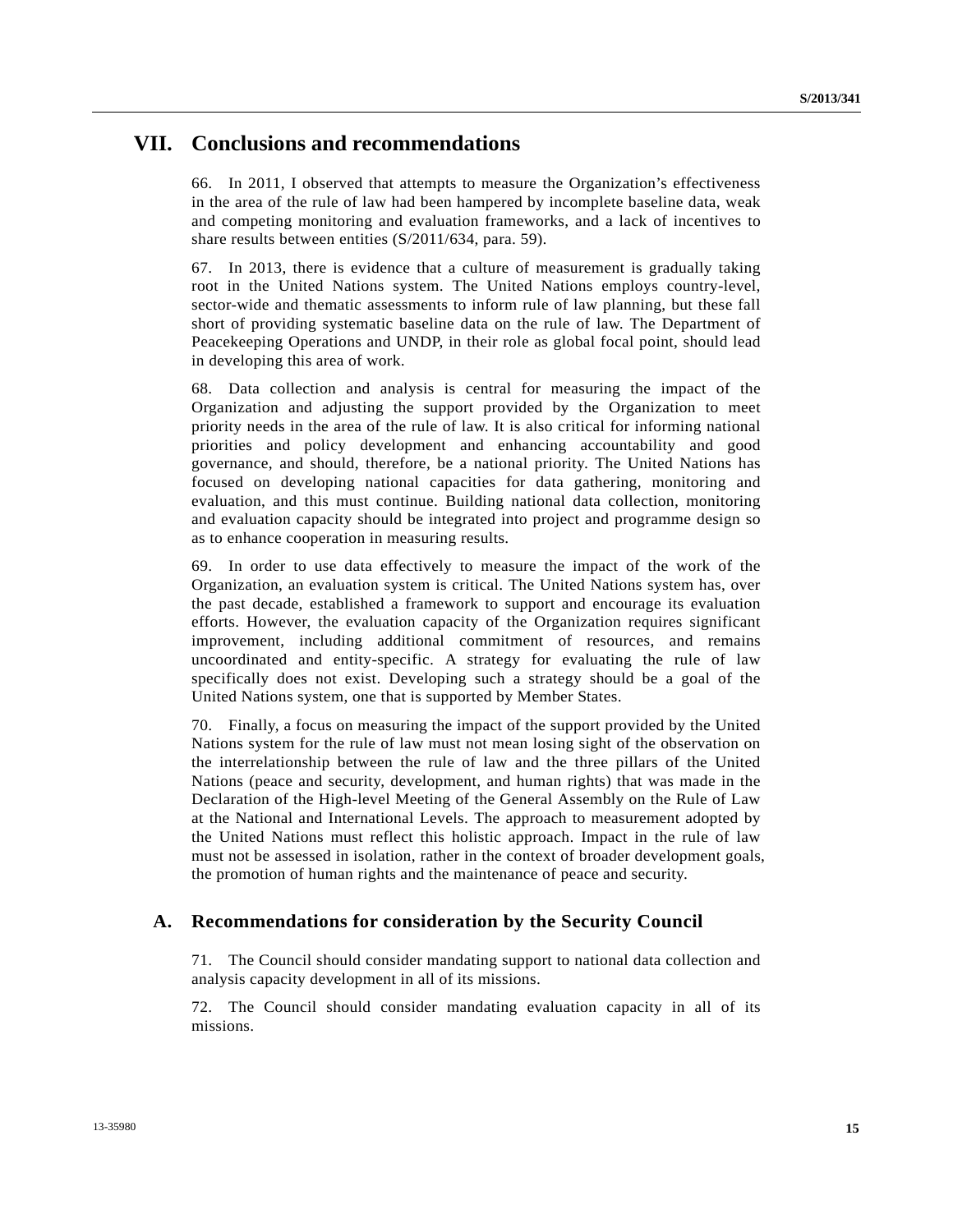### **VII. Conclusions and recommendations**

66. In 2011, I observed that attempts to measure the Organization's effectiveness in the area of the rule of law had been hampered by incomplete baseline data, weak and competing monitoring and evaluation frameworks, and a lack of incentives to share results between entities (S/2011/634, para. 59).

67. In 2013, there is evidence that a culture of measurement is gradually taking root in the United Nations system. The United Nations employs country-level, sector-wide and thematic assessments to inform rule of law planning, but these fall short of providing systematic baseline data on the rule of law. The Department of Peacekeeping Operations and UNDP, in their role as global focal point, should lead in developing this area of work.

68. Data collection and analysis is central for measuring the impact of the Organization and adjusting the support provided by the Organization to meet priority needs in the area of the rule of law. It is also critical for informing national priorities and policy development and enhancing accountability and good governance, and should, therefore, be a national priority. The United Nations has focused on developing national capacities for data gathering, monitoring and evaluation, and this must continue. Building national data collection, monitoring and evaluation capacity should be integrated into project and programme design so as to enhance cooperation in measuring results.

69. In order to use data effectively to measure the impact of the work of the Organization, an evaluation system is critical. The United Nations system has, over the past decade, established a framework to support and encourage its evaluation efforts. However, the evaluation capacity of the Organization requires significant improvement, including additional commitment of resources, and remains uncoordinated and entity-specific. A strategy for evaluating the rule of law specifically does not exist. Developing such a strategy should be a goal of the United Nations system, one that is supported by Member States.

70. Finally, a focus on measuring the impact of the support provided by the United Nations system for the rule of law must not mean losing sight of the observation on the interrelationship between the rule of law and the three pillars of the United Nations (peace and security, development, and human rights) that was made in the Declaration of the High-level Meeting of the General Assembly on the Rule of Law at the National and International Levels. The approach to measurement adopted by the United Nations must reflect this holistic approach. Impact in the rule of law must not be assessed in isolation, rather in the context of broader development goals, the promotion of human rights and the maintenance of peace and security.

#### **A. Recommendations for consideration by the Security Council**

71. The Council should consider mandating support to national data collection and analysis capacity development in all of its missions.

72. The Council should consider mandating evaluation capacity in all of its missions.